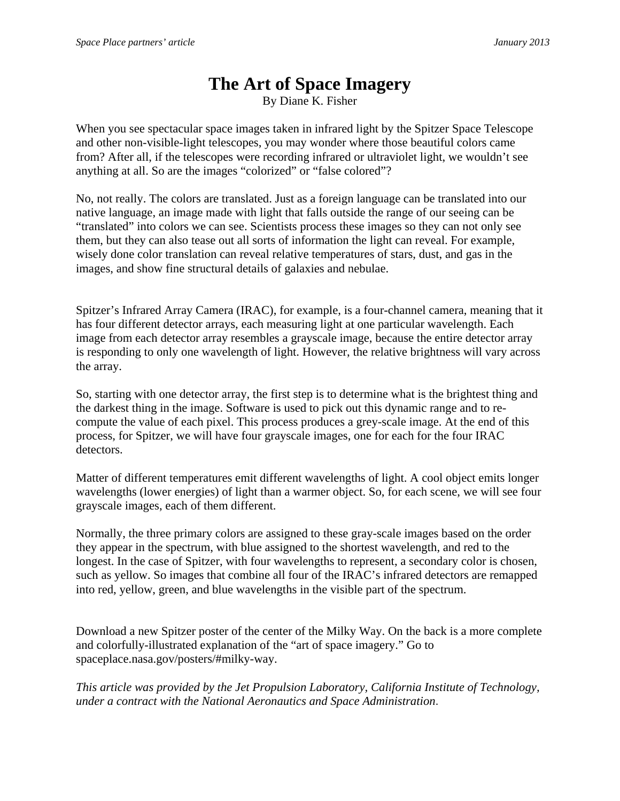## **The Art of Space Imagery**

By Diane K. Fisher

When you see spectacular space images taken in infrared light by the Spitzer Space Telescope and other non-visible-light telescopes, you may wonder where those beautiful colors came from? After all, if the telescopes were recording infrared or ultraviolet light, we wouldn't see anything at all. So are the images "colorized" or "false colored"?

No, not really. The colors are translated. Just as a foreign language can be translated into our native language, an image made with light that falls outside the range of our seeing can be "translated" into colors we can see. Scientists process these images so they can not only see them, but they can also tease out all sorts of information the light can reveal. For example, wisely done color translation can reveal relative temperatures of stars, dust, and gas in the images, and show fine structural details of galaxies and nebulae.

Spitzer's Infrared Array Camera (IRAC), for example, is a four-channel camera, meaning that it has four different detector arrays, each measuring light at one particular wavelength. Each image from each detector array resembles a grayscale image, because the entire detector array is responding to only one wavelength of light. However, the relative brightness will vary across the array.

So, starting with one detector array, the first step is to determine what is the brightest thing and the darkest thing in the image. Software is used to pick out this dynamic range and to recompute the value of each pixel. This process produces a grey-scale image. At the end of this process, for Spitzer, we will have four grayscale images, one for each for the four IRAC detectors.

Matter of different temperatures emit different wavelengths of light. A cool object emits longer wavelengths (lower energies) of light than a warmer object. So, for each scene, we will see four grayscale images, each of them different.

Normally, the three primary colors are assigned to these gray-scale images based on the order they appear in the spectrum, with blue assigned to the shortest wavelength, and red to the longest. In the case of Spitzer, with four wavelengths to represent, a secondary color is chosen, such as yellow. So images that combine all four of the IRAC's infrared detectors are remapped into red, yellow, green, and blue wavelengths in the visible part of the spectrum.

Download a new Spitzer poster of the center of the Milky Way. On the back is a more complete and colorfully-illustrated explanation of the "art of space imagery." Go to spaceplace.nasa.gov/posters/#milky-way.

*This article was provided by the Jet Propulsion Laboratory, California Institute of Technology, under a contract with the National Aeronautics and Space Administration.*